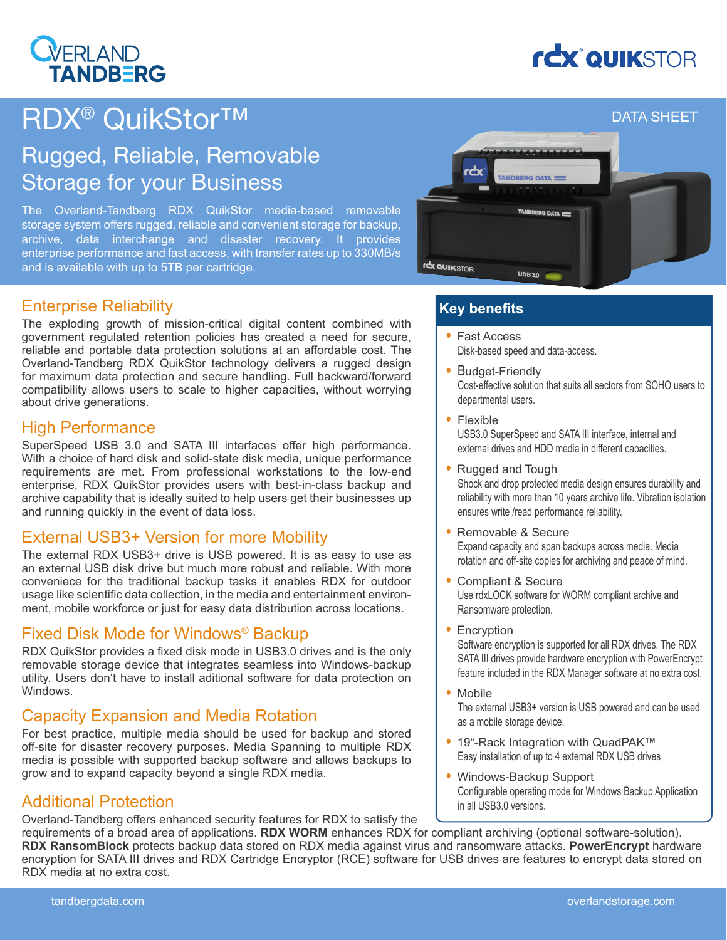### **VERLAND TANDBERG**

# **rcx QUIKSTOR**

## RDX® QuikStor™

### Rugged, Reliable, Removable Storage for your Business

The Overland-Tandberg RDX QuikStor media-based removable storage system offers rugged, reliable and convenient storage for backup, archive, data interchange and disaster recovery. It provides enterprise performance and fast access, with transfer rates up to 330MB/s and is available with up to 5TB per cartridge.



#### Enterprise Reliability

The exploding growth of mission-critical digital content combined with government regulated retention policies has created a need for secure, reliable and portable data protection solutions at an affordable cost. The Overland-Tandberg RDX QuikStor technology delivers a rugged design for maximum data protection and secure handling. Full backward/forward compatibility allows users to scale to higher capacities, without worrying about drive generations.

#### High Performance

SuperSpeed USB 3.0 and SATA III interfaces offer high performance. With a choice of hard disk and solid-state disk media, unique performance requirements are met. From professional workstations to the low-end enterprise, RDX QuikStor provides users with best-in-class backup and archive capability that is ideally suited to help users get their businesses up and running quickly in the event of data loss.

#### External USB3+ Version for more Mobility

The external RDX USB3+ drive is USB powered. It is as easy to use as an external USB disk drive but much more robust and reliable. With more conveniece for the traditional backup tasks it enables RDX for outdoor usage like scientific data collection, in the media and entertainment environment, mobile workforce or just for easy data distribution across locations.

#### Fixed Disk Mode for Windows® Backup

RDX QuikStor provides a fixed disk mode in USB3.0 drives and is the only removable storage device that integrates seamless into Windows-backup utility. Users don't have to install aditional software for data protection on Windows.

#### Capacity Expansion and Media Rotation

For best practice, multiple media should be used for backup and stored off-site for disaster recovery purposes. Media Spanning to multiple RDX media is possible with supported backup software and allows backups to grow and to expand capacity beyond a single RDX media.

#### Additional Protection

Overland-Tandberg offers enhanced security features for RDX to satisfy the

#### **Key benefits**

- Fast Access Disk-based speed and data-access.
- Budget-Friendly Cost-effective solution that suits all sectors from SOHO users to departmental users.
- Flexible USB3.0 SuperSpeed and SATA III interface, internal and external drives and HDD media in different capacities.
- Rugged and Tough Shock and drop protected media design ensures durability and reliability with more than 10 years archive life. Vibration isolation ensures write /read performance reliability.
- Removable & Secure Expand capacity and span backups across media. Media rotation and off-site copies for archiving and peace of mind.
- Compliant & Secure Use rdxLOCK software for WORM compliant archive and Ransomware protection.
- Encryption

Software encryption is supported for all RDX drives. The RDX SATA III drives provide hardware encryption with PowerEncrypt feature included in the RDX Manager software at no extra cost.

• Mobile

The external USB3+ version is USB powered and can be used as a mobile storage device.

- 19"-Rack Integration with QuadPAK™ Easy installation of up to 4 external RDX USB drives
- Windows-Backup Support Configurable operating mode for Windows Backup Application in all USB3.0 versions.

requirements of a broad area of applications. **RDX WORM** enhances RDX for compliant archiving (optional software-solution). **RDX RansomBlock** protects backup data stored on RDX media against virus and ransomware attacks. **PowerEncrypt** hardware encryption for SATA III drives and RDX Cartridge Encryptor (RCE) software for USB drives are features to encrypt data stored on RDX media at no extra cost.